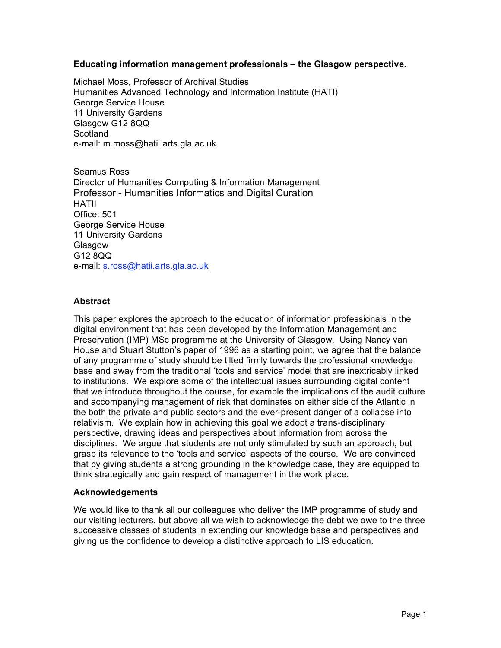## **Educating information management professionals – the Glasgow perspective.**

Michael Moss, Professor of Archival Studies Humanities Advanced Technology and Information Institute (HATI) George Service House 11 University Gardens Glasgow G12 8QQ **Scotland** e-mail: m.moss@hatii.arts.gla.ac.uk

Seamus Ross Director of Humanities Computing & Information Management Professor - Humanities Informatics and Digital Curation HATII Office: 501 George Service House 11 University Gardens Glasgow G12 8QQ e-mail: s.ross@hatii.arts.gla.ac.uk

## **Abstract**

This paper explores the approach to the education of information professionals in the digital environment that has been developed by the Information Management and Preservation (IMP) MSc programme at the University of Glasgow. Using Nancy van House and Stuart Stutton's paper of 1996 as a starting point, we agree that the balance of any programme of study should be tilted firmly towards the professional knowledge base and away from the traditional 'tools and service' model that are inextricably linked to institutions. We explore some of the intellectual issues surrounding digital content that we introduce throughout the course, for example the implications of the audit culture and accompanying management of risk that dominates on either side of the Atlantic in the both the private and public sectors and the ever-present danger of a collapse into relativism. We explain how in achieving this goal we adopt a trans-disciplinary perspective, drawing ideas and perspectives about information from across the disciplines. We argue that students are not only stimulated by such an approach, but grasp its relevance to the 'tools and service' aspects of the course. We are convinced that by giving students a strong grounding in the knowledge base, they are equipped to think strategically and gain respect of management in the work place.

## **Acknowledgements**

We would like to thank all our colleagues who deliver the IMP programme of study and our visiting lecturers, but above all we wish to acknowledge the debt we owe to the three successive classes of students in extending our knowledge base and perspectives and giving us the confidence to develop a distinctive approach to LIS education.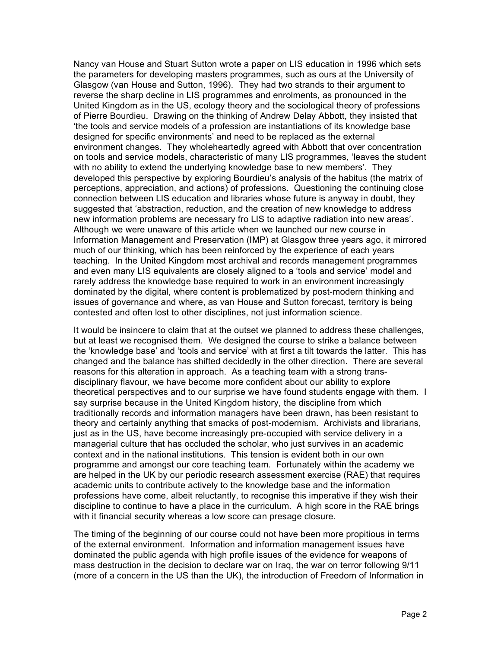Nancy van House and Stuart Sutton wrote a paper on LIS education in 1996 which sets the parameters for developing masters programmes, such as ours at the University of Glasgow (van House and Sutton, 1996). They had two strands to their argument to reverse the sharp decline in LIS programmes and enrolments, as pronounced in the United Kingdom as in the US, ecology theory and the sociological theory of professions of Pierre Bourdieu. Drawing on the thinking of Andrew Delay Abbott, they insisted that 'the tools and service models of a profession are instantiations of its knowledge base designed for specific environments' and need to be replaced as the external environment changes. They wholeheartedly agreed with Abbott that over concentration on tools and service models, characteristic of many LIS programmes, 'leaves the student with no ability to extend the underlying knowledge base to new members'. They developed this perspective by exploring Bourdieu's analysis of the habitus (the matrix of perceptions, appreciation, and actions) of professions. Questioning the continuing close connection between LIS education and libraries whose future is anyway in doubt, they suggested that 'abstraction, reduction, and the creation of new knowledge to address new information problems are necessary fro LIS to adaptive radiation into new areas'. Although we were unaware of this article when we launched our new course in Information Management and Preservation (IMP) at Glasgow three years ago, it mirrored much of our thinking, which has been reinforced by the experience of each years teaching. In the United Kingdom most archival and records management programmes and even many LIS equivalents are closely aligned to a 'tools and service' model and rarely address the knowledge base required to work in an environment increasingly dominated by the digital, where content is problematized by post-modern thinking and issues of governance and where, as van House and Sutton forecast, territory is being contested and often lost to other disciplines, not just information science.

It would be insincere to claim that at the outset we planned to address these challenges, but at least we recognised them. We designed the course to strike a balance between the 'knowledge base' and 'tools and service' with at first a tilt towards the latter. This has changed and the balance has shifted decidedly in the other direction. There are several reasons for this alteration in approach. As a teaching team with a strong transdisciplinary flavour, we have become more confident about our ability to explore theoretical perspectives and to our surprise we have found students engage with them. I say surprise because in the United Kingdom history, the discipline from which traditionally records and information managers have been drawn, has been resistant to theory and certainly anything that smacks of post-modernism. Archivists and librarians, just as in the US, have become increasingly pre-occupied with service delivery in a managerial culture that has occluded the scholar, who just survives in an academic context and in the national institutions. This tension is evident both in our own programme and amongst our core teaching team. Fortunately within the academy we are helped in the UK by our periodic research assessment exercise (RAE) that requires academic units to contribute actively to the knowledge base and the information professions have come, albeit reluctantly, to recognise this imperative if they wish their discipline to continue to have a place in the curriculum. A high score in the RAE brings with it financial security whereas a low score can presage closure.

The timing of the beginning of our course could not have been more propitious in terms of the external environment. Information and information management issues have dominated the public agenda with high profile issues of the evidence for weapons of mass destruction in the decision to declare war on Iraq, the war on terror following 9/11 (more of a concern in the US than the UK), the introduction of Freedom of Information in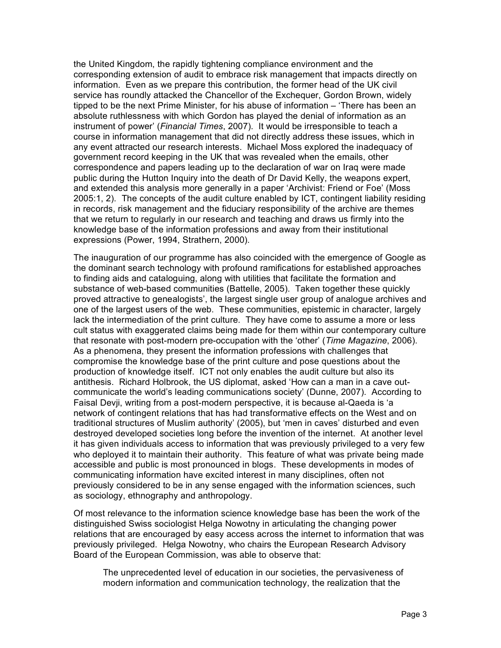the United Kingdom, the rapidly tightening compliance environment and the corresponding extension of audit to embrace risk management that impacts directly on information. Even as we prepare this contribution, the former head of the UK civil service has roundly attacked the Chancellor of the Exchequer, Gordon Brown, widely tipped to be the next Prime Minister, for his abuse of information – 'There has been an absolute ruthlessness with which Gordon has played the denial of information as an instrument of power' (*Financial Times*, 2007). It would be irresponsible to teach a course in information management that did not directly address these issues, which in any event attracted our research interests. Michael Moss explored the inadequacy of government record keeping in the UK that was revealed when the emails, other correspondence and papers leading up to the declaration of war on Iraq were made public during the Hutton Inquiry into the death of Dr David Kelly, the weapons expert, and extended this analysis more generally in a paper 'Archivist: Friend or Foe' (Moss 2005:1, 2). The concepts of the audit culture enabled by ICT, contingent liability residing in records, risk management and the fiduciary responsibility of the archive are themes that we return to regularly in our research and teaching and draws us firmly into the knowledge base of the information professions and away from their institutional expressions (Power, 1994, Strathern, 2000).

The inauguration of our programme has also coincided with the emergence of Google as the dominant search technology with profound ramifications for established approaches to finding aids and cataloguing, along with utilities that facilitate the formation and substance of web-based communities (Battelle, 2005). Taken together these quickly proved attractive to genealogists', the largest single user group of analogue archives and one of the largest users of the web. These communities, epistemic in character, largely lack the intermediation of the print culture. They have come to assume a more or less cult status with exaggerated claims being made for them within our contemporary culture that resonate with post-modern pre-occupation with the 'other' (*Time Magazine*, 2006). As a phenomena, they present the information professions with challenges that compromise the knowledge base of the print culture and pose questions about the production of knowledge itself. ICT not only enables the audit culture but also its antithesis. Richard Holbrook, the US diplomat, asked 'How can a man in a cave outcommunicate the world's leading communications society' (Dunne, 2007). According to Faisal Devji, writing from a post-modern perspective, it is because al-Qaeda is 'a network of contingent relations that has had transformative effects on the West and on traditional structures of Muslim authority' (2005), but 'men in caves' disturbed and even destroyed developed societies long before the invention of the internet. At another level it has given individuals access to information that was previously privileged to a very few who deployed it to maintain their authority. This feature of what was private being made accessible and public is most pronounced in blogs. These developments in modes of communicating information have excited interest in many disciplines, often not previously considered to be in any sense engaged with the information sciences, such as sociology, ethnography and anthropology.

Of most relevance to the information science knowledge base has been the work of the distinguished Swiss sociologist Helga Nowotny in articulating the changing power relations that are encouraged by easy access across the internet to information that was previously privileged. Helga Nowotny, who chairs the European Research Advisory Board of the European Commission, was able to observe that:

The unprecedented level of education in our societies, the pervasiveness of modern information and communication technology, the realization that the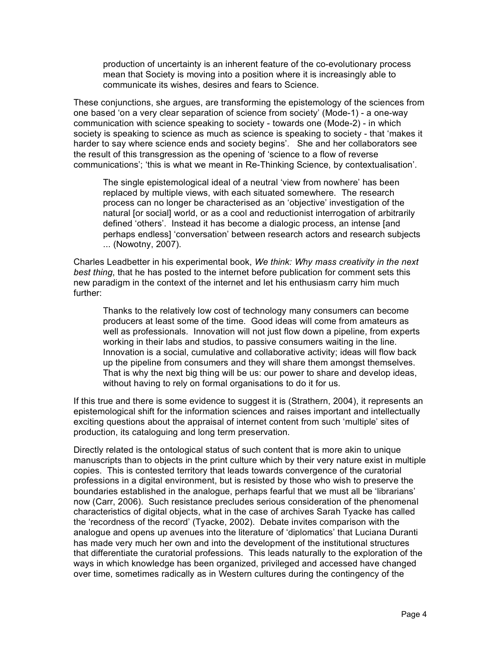production of uncertainty is an inherent feature of the co-evolutionary process mean that Society is moving into a position where it is increasingly able to communicate its wishes, desires and fears to Science.

These conjunctions, she argues, are transforming the epistemology of the sciences from one based 'on a very clear separation of science from society' (Mode-1) - a one-way communication with science speaking to society - towards one (Mode-2) - in which society is speaking to science as much as science is speaking to society - that 'makes it harder to say where science ends and society begins'. She and her collaborators see the result of this transgression as the opening of 'science to a flow of reverse communications'; 'this is what we meant in Re-Thinking Science, by contextualisation'.

The single epistemological ideal of a neutral 'view from nowhere' has been replaced by multiple views, with each situated somewhere. The research process can no longer be characterised as an 'objective' investigation of the natural [or social] world, or as a cool and reductionist interrogation of arbitrarily defined 'others'. Instead it has become a dialogic process, an intense [and perhaps endless] 'conversation' between research actors and research subjects ... (Nowotny, 2007).

Charles Leadbetter in his experimental book, *We think: Why mass creativity in the next best thing*, that he has posted to the internet before publication for comment sets this new paradigm in the context of the internet and let his enthusiasm carry him much further:

Thanks to the relatively low cost of technology many consumers can become producers at least some of the time. Good ideas will come from amateurs as well as professionals. Innovation will not just flow down a pipeline, from experts working in their labs and studios, to passive consumers waiting in the line. Innovation is a social, cumulative and collaborative activity; ideas will flow back up the pipeline from consumers and they will share them amongst themselves. That is why the next big thing will be us: our power to share and develop ideas, without having to rely on formal organisations to do it for us.

If this true and there is some evidence to suggest it is (Strathern, 2004), it represents an epistemological shift for the information sciences and raises important and intellectually exciting questions about the appraisal of internet content from such 'multiple' sites of production, its cataloguing and long term preservation.

Directly related is the ontological status of such content that is more akin to unique manuscripts than to objects in the print culture which by their very nature exist in multiple copies. This is contested territory that leads towards convergence of the curatorial professions in a digital environment, but is resisted by those who wish to preserve the boundaries established in the analogue, perhaps fearful that we must all be 'librarians' now (Carr, 2006). Such resistance precludes serious consideration of the phenomenal characteristics of digital objects, what in the case of archives Sarah Tyacke has called the 'recordness of the record' (Tyacke, 2002). Debate invites comparison with the analogue and opens up avenues into the literature of 'diplomatics' that Luciana Duranti has made very much her own and into the development of the institutional structures that differentiate the curatorial professions. This leads naturally to the exploration of the ways in which knowledge has been organized, privileged and accessed have changed over time, sometimes radically as in Western cultures during the contingency of the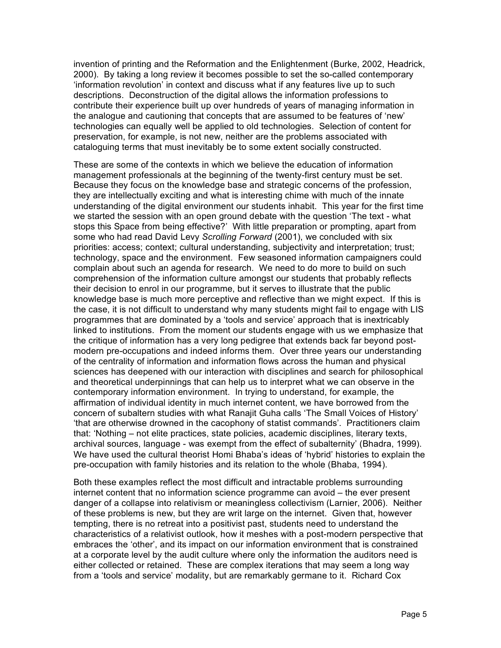invention of printing and the Reformation and the Enlightenment (Burke, 2002, Headrick, 2000). By taking a long review it becomes possible to set the so-called contemporary 'information revolution' in context and discuss what if any features live up to such descriptions. Deconstruction of the digital allows the information professions to contribute their experience built up over hundreds of years of managing information in the analogue and cautioning that concepts that are assumed to be features of 'new' technologies can equally well be applied to old technologies. Selection of content for preservation, for example, is not new, neither are the problems associated with cataloguing terms that must inevitably be to some extent socially constructed.

These are some of the contexts in which we believe the education of information management professionals at the beginning of the twenty-first century must be set. Because they focus on the knowledge base and strategic concerns of the profession, they are intellectually exciting and what is interesting chime with much of the innate understanding of the digital environment our students inhabit. This year for the first time we started the session with an open ground debate with the question 'The text - what stops this Space from being effective?' With little preparation or prompting, apart from some who had read David Levy *Scrolling Forward* (2001), we concluded with six priorities: access; context; cultural understanding, subjectivity and interpretation; trust; technology, space and the environment. Few seasoned information campaigners could complain about such an agenda for research. We need to do more to build on such comprehension of the information culture amongst our students that probably reflects their decision to enrol in our programme, but it serves to illustrate that the public knowledge base is much more perceptive and reflective than we might expect. If this is the case, it is not difficult to understand why many students might fail to engage with LIS programmes that are dominated by a 'tools and service' approach that is inextricably linked to institutions. From the moment our students engage with us we emphasize that the critique of information has a very long pedigree that extends back far beyond postmodern pre-occupations and indeed informs them. Over three years our understanding of the centrality of information and information flows across the human and physical sciences has deepened with our interaction with disciplines and search for philosophical and theoretical underpinnings that can help us to interpret what we can observe in the contemporary information environment. In trying to understand, for example, the affirmation of individual identity in much internet content, we have borrowed from the concern of subaltern studies with what Ranajit Guha calls 'The Small Voices of History' 'that are otherwise drowned in the cacophony of statist commands'. Practitioners claim that: 'Nothing – not elite practices, state policies, academic disciplines, literary texts, archival sources, language - was exempt from the effect of subalternity' (Bhadra, 1999). We have used the cultural theorist Homi Bhaba's ideas of 'hybrid' histories to explain the pre-occupation with family histories and its relation to the whole (Bhaba, 1994).

Both these examples reflect the most difficult and intractable problems surrounding internet content that no information science programme can avoid – the ever present danger of a collapse into relativism or meaningless collectivism (Larnier, 2006). Neither of these problems is new, but they are writ large on the internet. Given that, however tempting, there is no retreat into a positivist past, students need to understand the characteristics of a relativist outlook, how it meshes with a post-modern perspective that embraces the 'other', and its impact on our information environment that is constrained at a corporate level by the audit culture where only the information the auditors need is either collected or retained. These are complex iterations that may seem a long way from a 'tools and service' modality, but are remarkably germane to it. Richard Cox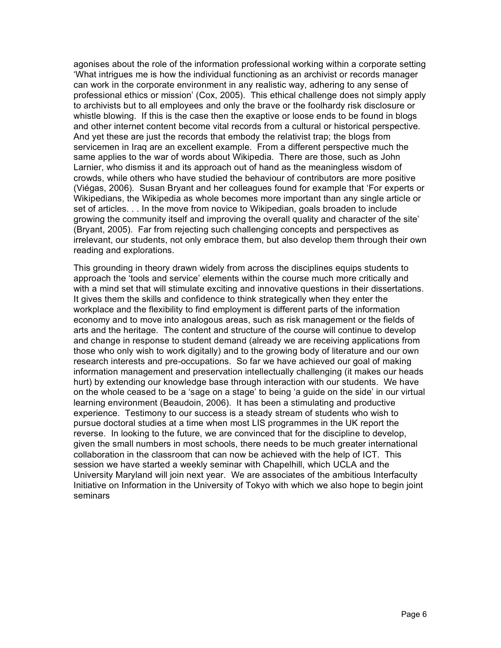agonises about the role of the information professional working within a corporate setting 'What intrigues me is how the individual functioning as an archivist or records manager can work in the corporate environment in any realistic way, adhering to any sense of professional ethics or mission' (Cox, 2005). This ethical challenge does not simply apply to archivists but to all employees and only the brave or the foolhardy risk disclosure or whistle blowing. If this is the case then the exaptive or loose ends to be found in blogs and other internet content become vital records from a cultural or historical perspective. And yet these are just the records that embody the relativist trap; the blogs from servicemen in Iraq are an excellent example. From a different perspective much the same applies to the war of words about Wikipedia. There are those, such as John Larnier, who dismiss it and its approach out of hand as the meaningless wisdom of crowds, while others who have studied the behaviour of contributors are more positive (Viégas, 2006). Susan Bryant and her colleagues found for example that 'For experts or Wikipedians, the Wikipedia as whole becomes more important than any single article or set of articles. . . In the move from novice to Wikipedian, goals broaden to include growing the community itself and improving the overall quality and character of the site' (Bryant, 2005). Far from rejecting such challenging concepts and perspectives as irrelevant, our students, not only embrace them, but also develop them through their own reading and explorations.

This grounding in theory drawn widely from across the disciplines equips students to approach the 'tools and service' elements within the course much more critically and with a mind set that will stimulate exciting and innovative questions in their dissertations. It gives them the skills and confidence to think strategically when they enter the workplace and the flexibility to find employment is different parts of the information economy and to move into analogous areas, such as risk management or the fields of arts and the heritage. The content and structure of the course will continue to develop and change in response to student demand (already we are receiving applications from those who only wish to work digitally) and to the growing body of literature and our own research interests and pre-occupations. So far we have achieved our goal of making information management and preservation intellectually challenging (it makes our heads hurt) by extending our knowledge base through interaction with our students. We have on the whole ceased to be a 'sage on a stage' to being 'a guide on the side' in our virtual learning environment (Beaudoin, 2006). It has been a stimulating and productive experience. Testimony to our success is a steady stream of students who wish to pursue doctoral studies at a time when most LIS programmes in the UK report the reverse. In looking to the future, we are convinced that for the discipline to develop, given the small numbers in most schools, there needs to be much greater international collaboration in the classroom that can now be achieved with the help of ICT. This session we have started a weekly seminar with Chapelhill, which UCLA and the University Maryland will join next year. We are associates of the ambitious Interfaculty Initiative on Information in the University of Tokyo with which we also hope to begin joint seminars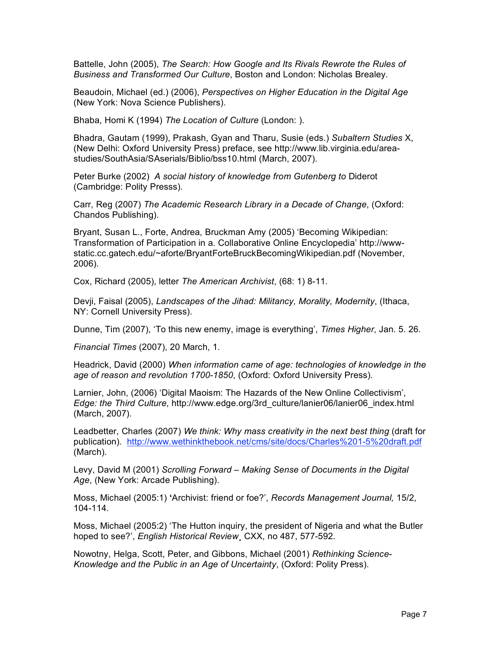Battelle, John (2005), *The Search: How Google and Its Rivals Rewrote the Rules of Business and Transformed Our Culture*, Boston and London: Nicholas Brealey.

Beaudoin, Michael (ed.) (2006), *Perspectives on Higher Education in the Digital Age*  (New York: Nova Science Publishers).

Bhaba, Homi K (1994) *The Location of Culture* (London: ).

Bhadra, Gautam (1999), Prakash, Gyan and Tharu, Susie (eds.) *Subaltern Studies* X, (New Delhi: Oxford University Press) preface, see http://www.lib.virginia.edu/areastudies/SouthAsia/SAserials/Biblio/bss10.html (March, 2007).

Peter Burke (2002) *A social history of knowledge from Gutenberg to* Diderot (Cambridge: Polity Presss).

Carr, Reg (2007) *The Academic Research Library in a Decade of Change*, (Oxford: Chandos Publishing).

Bryant, Susan L., Forte, Andrea, Bruckman Amy (2005) 'Becoming Wikipedian: Transformation of Participation in a. Collaborative Online Encyclopedia' http://wwwstatic.cc.gatech.edu/~aforte/BryantForteBruckBecomingWikipedian.pdf (November, 2006).

Cox, Richard (2005), letter *The American Archivist*, (68: 1) 8-11.

Devji, Faisal (2005), *Landscapes of the Jihad: Militancy, Morality, Modernity*, (Ithaca, NY: Cornell University Press).

Dunne, Tim (2007), 'To this new enemy, image is everything', *Times Higher*, Jan. 5. 26.

*Financial Times* (2007), 20 March, 1.

Headrick, David (2000) *When information came of age: technologies of knowledge in the age of reason and revolution 1700-1850*, (Oxford: Oxford University Press).

Larnier, John, (2006) 'Digital Maoism: The Hazards of the New Online Collectivism', *Edge: the Third Culture*, http://www.edge.org/3rd\_culture/lanier06/lanier06\_index.html (March, 2007).

Leadbetter, Charles (2007) *We think: Why mass creativity in the next best thing* (draft for publication). http://www.wethinkthebook.net/cms/site/docs/Charles%201-5%20draft.pdf (March).

Levy, David M (2001) *Scrolling Forward – Making Sense of Documents in the Digital Age*, (New York: Arcade Publishing).

Moss, Michael (2005:1) **'**Archivist: friend or foe?', *Records Management Journal,* 15/2, 104-114.

Moss, Michael (2005:2) 'The Hutton inquiry, the president of Nigeria and what the Butler hoped to see?', *English Historical Review*¸ CXX, no 487, 577-592.

Nowotny, Helga, Scott, Peter, and Gibbons, Michael (2001) *Rethinking Science-Knowledge and the Public in an Age of Uncertainty*, (Oxford: Polity Press).